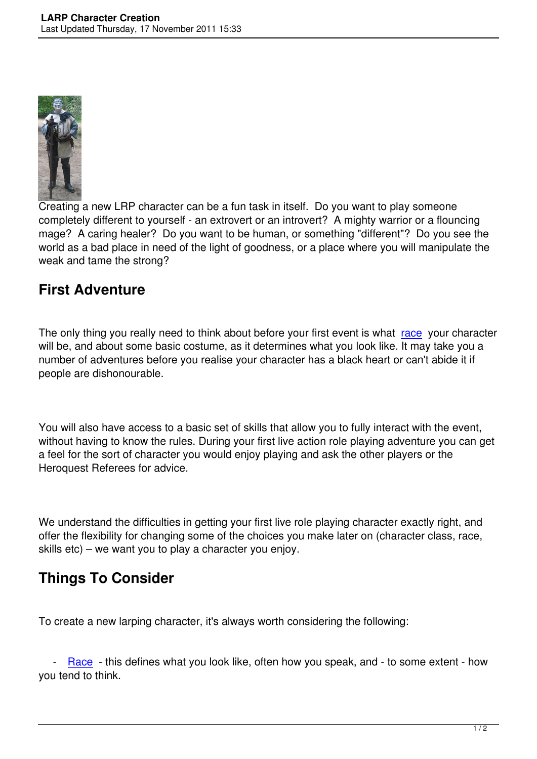

Creating a new LRP character can be a fun task in itself. Do you want to play someone completely different to yourself - an extrovert or an introvert? A mighty warrior or a flouncing mage? A caring healer? Do you want to be human, or something "different"? Do you see the world as a bad place in need of the light of goodness, or a place where you will manipulate the weak and tame the strong?

## **First Adventure**

The only thing you really need to think about before your first event is what race your character will be, and about some basic costume, as it determines what you look like. It may take you a number of adventures before you realise your character has a black heart or can't abide it if people are dishonourable.

You will also have access to a basic set of skills that allow you to fully interact with the event, without having to know the rules. During your first live action role playing adventure you can get a feel for the sort of character you would enjoy playing and ask the other players or the Heroquest Referees for advice.

We understand the difficulties in getting your first live role playing character exactly right, and offer the flexibility for changing some of the choices you make later on (character class, race, skills etc) – we want you to play a character you enjoy.

## **Things To Consider**

To create a new larping character, it's always worth considering the following:

 - Race - this defines what you look like, often how you speak, and - to some extent - how you tend to think.